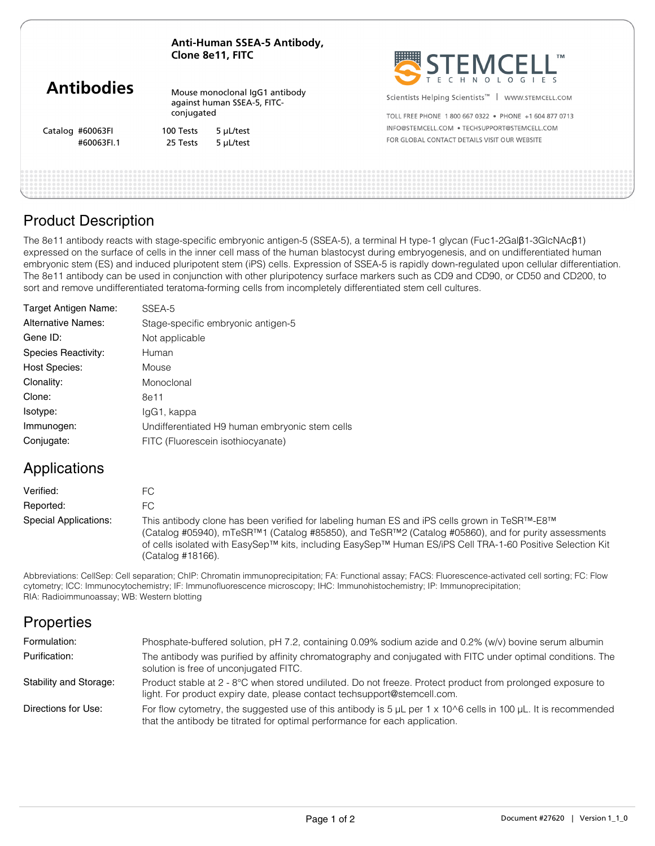**Anti-Human SSEA-5 Antibody, Clone 8e11, FITC**

|                   | CIVIIC OCTI, ITTU                                                           |           | <b>HEADERS</b><br>$\overline{1}$ IVI<br><b>FMCF</b><br>ECHNOLOGIES |  |
|-------------------|-----------------------------------------------------------------------------|-----------|--------------------------------------------------------------------|--|
| <b>Antibodies</b> | Mouse monoclonal IgG1 antibody<br>against human SSEA-5, FITC-<br>conjugated |           | Scientists Helping Scientists <sup>™</sup>  <br>WWW.STEMCELL.COM   |  |
|                   |                                                                             |           | TOLL FREE PHONE 1800 667 0322 . PHONE +1 604 877 0713              |  |
| Catalog #60063FI  | 100 Tests                                                                   | 5 µL/test | INFO@STEMCELL.COM . TECHSUPPORT@STEMCELL.COM                       |  |
| #60063FI.1        | 25 Tests                                                                    | 5 µL/test | FOR GLOBAL CONTACT DETAILS VISIT OUR WEBSITE                       |  |
|                   |                                                                             |           |                                                                    |  |

. . . . . . . . . .

# Product Description

The 8e11 antibody reacts with stage-specific embryonic antigen-5 (SSEA-5), a terminal H type-1 glycan (Fuc1-2Galβ1-3GlcNAcβ1) expressed on the surface of cells in the inner cell mass of the human blastocyst during embryogenesis, and on undifferentiated human embryonic stem (ES) and induced pluripotent stem (iPS) cells. Expression of SSEA-5 is rapidly down-regulated upon cellular differentiation. The 8e11 antibody can be used in conjunction with other pluripotency surface markers such as CD9 and CD90, or CD50 and CD200, to sort and remove undifferentiated teratoma-forming cells from incompletely differentiated stem cell cultures.

| Target Antigen Name:      | SSEA-5                                         |
|---------------------------|------------------------------------------------|
| <b>Alternative Names:</b> | Stage-specific embryonic antigen-5             |
| Gene ID:                  | Not applicable                                 |
| Species Reactivity:       | Human                                          |
| <b>Host Species:</b>      | Mouse                                          |
| Clonality:                | Monoclonal                                     |
| Clone:                    | 8e11                                           |
| Isotype:                  | lgG1, kappa                                    |
| Immunogen:                | Undifferentiated H9 human embryonic stem cells |
| Conjugate:                | FITC (Fluorescein isothiocyanate)              |

# Applications

| Verified:             | FC.                                                                                                                                                                                                                                                                                                                                    |
|-----------------------|----------------------------------------------------------------------------------------------------------------------------------------------------------------------------------------------------------------------------------------------------------------------------------------------------------------------------------------|
| Reported:             | FC.                                                                                                                                                                                                                                                                                                                                    |
| Special Applications: | This antibody clone has been verified for labeling human ES and iPS cells grown in TeSR™-E8™<br>(Catalog #05940), mTeSR™1 (Catalog #85850), and TeSR™2 (Catalog #05860), and for purity assessments<br>of cells isolated with EasySep™ kits, including EasySep™ Human ES/iPS Cell TRA-1-60 Positive Selection Kit<br>(Catalog #18166). |

Abbreviations: CellSep: Cell separation; ChIP: Chromatin immunoprecipitation; FA: Functional assay; FACS: Fluorescence-activated cell sorting; FC: Flow cytometry; ICC: Immunocytochemistry; IF: Immunofluorescence microscopy; IHC: Immunohistochemistry; IP: Immunoprecipitation; RIA: Radioimmunoassay; WB: Western blotting

### **Properties**

| Formulation:           | Phosphate-buffered solution, pH 7.2, containing 0.09% sodium azide and 0.2% (w/v) bovine serum albumin                                                                                                   |
|------------------------|----------------------------------------------------------------------------------------------------------------------------------------------------------------------------------------------------------|
| Purification:          | The antibody was purified by affinity chromatography and conjugated with FITC under optimal conditions. The<br>solution is free of unconjugated FITC.                                                    |
| Stability and Storage: | Product stable at 2 - 8°C when stored undiluted. Do not freeze. Protect product from prolonged exposure to<br>light. For product expiry date, please contact techsupport@stemcell.com.                   |
| Directions for Use:    | For flow cytometry, the suggested use of this antibody is $5 \mu L$ per 1 x 10^6 cells in 100 $\mu L$ . It is recommended<br>that the antibody be titrated for optimal performance for each application. |